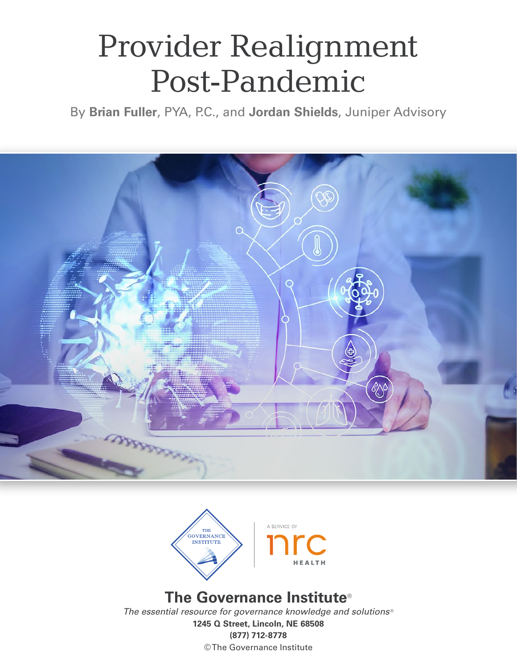# Provider Realignment Post-Pandemic

By **Brian Fuller**, PYA, P.C., and **Jordan Shields**, Juniper Advisory





# **The Governance Institute**®

*The essential resource for governance knowledge and solutions* ® **1245 Q Street, Lincoln, NE 68508 (877) 712-8778** ©The Governance Institute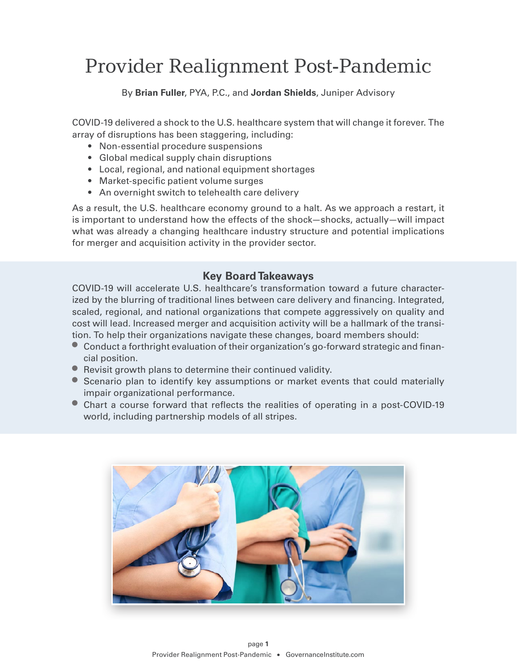# Provider Realignment Post-Pandemic

#### By **Brian Fuller**, PYA, P.C., and **Jordan Shields**, Juniper Advisory

COVID-19 delivered a shock to the U.S. healthcare system that will change it forever. The array of disruptions has been staggering, including:

- Non-essential procedure suspensions
- Global medical supply chain disruptions
- Local, regional, and national equipment shortages
- Market-specific patient volume surges
- An overnight switch to telehealth care delivery

As a result, the U.S. healthcare economy ground to a halt. As we approach a restart, it is important to understand how the effects of the shock—shocks, actually—will impact what was already a changing healthcare industry structure and potential implications for merger and acquisition activity in the provider sector.

#### **Key Board Takeaways**

COVID-19 will accelerate U.S. healthcare's transformation toward a future characterized by the blurring of traditional lines between care delivery and financing. Integrated, scaled, regional, and national organizations that compete aggressively on quality and cost will lead. Increased merger and acquisition activity will be a hallmark of the transition. To help their organizations navigate these changes, board members should:

- Conduct a forthright evaluation of their organization's go-forward strategic and financial position.
- Revisit growth plans to determine their continued validity.
- Scenario plan to identify key assumptions or market events that could materially impair organizational performance.
- Chart a course forward that reflects the realities of operating in a post-COVID-19 world, including partnership models of all stripes.

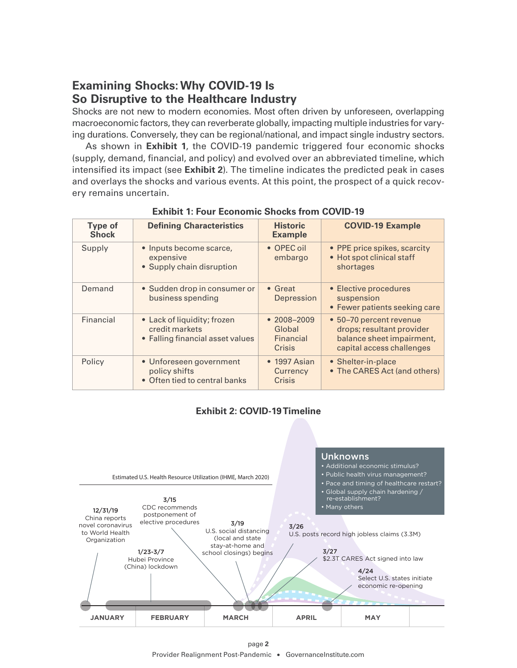# **Examining Shocks: Why COVID-19 Is So Disruptive to the Healthcare Industry**

Shocks are not new to modern economies. Most often driven by unforeseen, overlapping macroeconomic factors, they can reverberate globally, impacting multiple industries for varying durations. Conversely, they can be regional/national, and impact single industry sectors.

As shown in **Exhibit 1**, the COVID-19 pandemic triggered four economic shocks (supply, demand, financial, and policy) and evolved over an abbreviated timeline, which intensified its impact (see **Exhibit 2**). The timeline indicates the predicted peak in cases and overlays the shocks and various events. At this point, the prospect of a quick recovery remains uncertain.

| <b>Type of</b><br><b>Shock</b> | <b>Defining Characteristics</b>                                                   | <b>Historic</b><br><b>Example</b>                       | <b>COVID-19 Example</b>                                                                                        |
|--------------------------------|-----------------------------------------------------------------------------------|---------------------------------------------------------|----------------------------------------------------------------------------------------------------------------|
| Supply                         | • Inputs become scarce,<br>expensive<br>• Supply chain disruption                 | • OPEC oil<br>embargo                                   | • PPE price spikes, scarcity<br>• Hot spot clinical staff<br>shortages                                         |
| Demand                         | • Sudden drop in consumer or<br>business spending                                 | $\bullet$ Great<br>Depression                           | • Elective procedures<br>suspension<br>• Fewer patients seeking care                                           |
| Financial                      | • Lack of liquidity; frozen<br>credit markets<br>• Falling financial asset values | $• 2008 - 2009$<br>Global<br><b>Financial</b><br>Crisis | • 50-70 percent revenue<br>drops; resultant provider<br>balance sheet impairment,<br>capital access challenges |
| Policy                         | • Unforeseen government<br>policy shifts<br>• Often tied to central banks         | $\bullet$ 1997 Asian<br>Currency<br>Crisis              | • Shelter-in-place<br>• The CARES Act (and others)                                                             |

**Exhibit 1: Four Economic Shocks from COVID-19**

#### **Exhibit 2: COVID-19 Timeline**

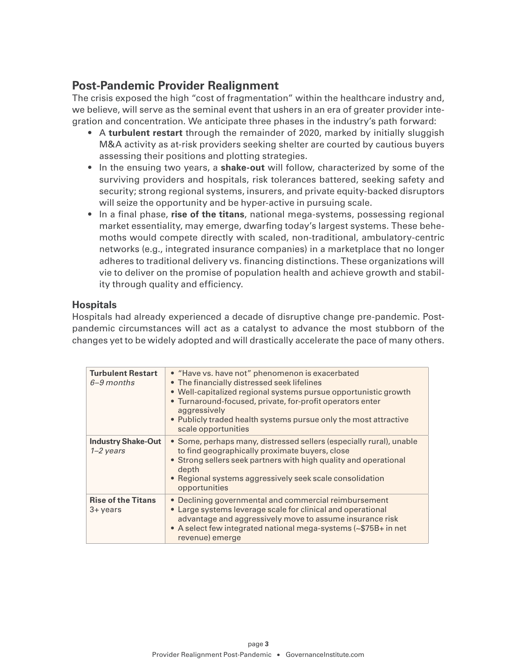### **Post-Pandemic Provider Realignment**

The crisis exposed the high "cost of fragmentation" within the healthcare industry and, we believe, will serve as the seminal event that ushers in an era of greater provider integration and concentration. We anticipate three phases in the industry's path forward:

- A **turbulent restart** through the remainder of 2020, marked by initially sluggish M&A activity as at-risk providers seeking shelter are courted by cautious buyers assessing their positions and plotting strategies.
- In the ensuing two years, a **shake-out** will follow, characterized by some of the surviving providers and hospitals, risk tolerances battered, seeking safety and security; strong regional systems, insurers, and private equity-backed disruptors will seize the opportunity and be hyper-active in pursuing scale.
- In a final phase, **rise of the titans**, national mega-systems, possessing regional market essentiality, may emerge, dwarfing today's largest systems. These behemoths would compete directly with scaled, non-traditional, ambulatory-centric networks (e.g., integrated insurance companies) in a marketplace that no longer adheres to traditional delivery vs. financing distinctions. These organizations will vie to deliver on the promise of population health and achieve growth and stability through quality and efficiency.

#### **Hospitals**

Hospitals had already experienced a decade of disruptive change pre-pandemic. Postpandemic circumstances will act as a catalyst to advance the most stubborn of the changes yet to be widely adopted and will drastically accelerate the pace of many others.

| <b>Turbulent Restart</b><br>$6 - 9$ months | • "Have vs. have not" phenomenon is exacerbated<br>• The financially distressed seek lifelines<br>• Well-capitalized regional systems pursue opportunistic growth<br>• Turnaround-focused, private, for-profit operators enter<br>aggressively<br>• Publicly traded health systems pursue only the most attractive<br>scale opportunities |
|--------------------------------------------|-------------------------------------------------------------------------------------------------------------------------------------------------------------------------------------------------------------------------------------------------------------------------------------------------------------------------------------------|
| <b>Industry Shake-Out</b><br>$1 - 2$ years | • Some, perhaps many, distressed sellers (especially rural), unable<br>to find geographically proximate buyers, close<br>• Strong sellers seek partners with high quality and operational<br>depth<br>• Regional systems aggressively seek scale consolidation<br>opportunities                                                           |
| <b>Rise of the Titans</b><br>3+ years      | • Declining governmental and commercial reimbursement<br>• Large systems leverage scale for clinical and operational<br>advantage and aggressively move to assume insurance risk<br>• A select few integrated national mega-systems (~\$75B+ in net<br>revenue) emerge                                                                    |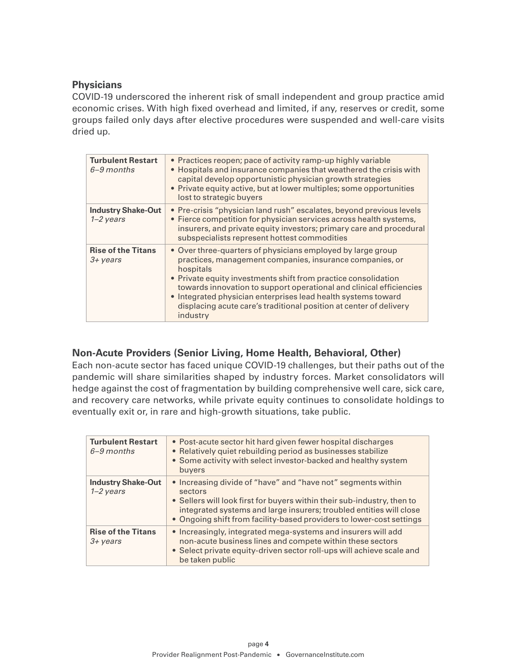#### **Physicians**

COVID-19 underscored the inherent risk of small independent and group practice amid economic crises. With high fixed overhead and limited, if any, reserves or credit, some groups failed only days after elective procedures were suspended and well-care visits dried up.

| <b>Turbulent Restart</b><br>$6 - 9$ months        | • Practices reopen; pace of activity ramp-up highly variable<br>• Hospitals and insurance companies that weathered the crisis with<br>capital develop opportunistic physician growth strategies<br>• Private equity active, but at lower multiples; some opportunities<br>lost to strategic buyers                                                                                                                               |
|---------------------------------------------------|----------------------------------------------------------------------------------------------------------------------------------------------------------------------------------------------------------------------------------------------------------------------------------------------------------------------------------------------------------------------------------------------------------------------------------|
| <b>Industry Shake-Out</b><br>$1 - 2$ years        | • Pre-crisis "physician land rush" escalates, beyond previous levels<br>• Fierce competition for physician services across health systems,<br>insurers, and private equity investors; primary care and procedural<br>subspecialists represent hottest commodities                                                                                                                                                                |
| <b>Rise of the Titans</b><br>$3 + \mathrm{years}$ | • Over three-quarters of physicians employed by large group<br>practices, management companies, insurance companies, or<br>hospitals<br>• Private equity investments shift from practice consolidation<br>towards innovation to support operational and clinical efficiencies<br>• Integrated physician enterprises lead health systems toward<br>displacing acute care's traditional position at center of delivery<br>industry |

#### **Non-Acute Providers (Senior Living, Home Health, Behavioral, Other)**

Each non-acute sector has faced unique COVID-19 challenges, but their paths out of the pandemic will share similarities shaped by industry forces. Market consolidators will hedge against the cost of fragmentation by building comprehensive well care, sick care, and recovery care networks, while private equity continues to consolidate holdings to eventually exit or, in rare and high-growth situations, take public.

| <b>Turbulent Restart</b><br>$6 - 9$ months      | • Post-acute sector hit hard given fewer hospital discharges<br>• Relatively quiet rebuilding period as businesses stabilize<br>• Some activity with select investor-backed and healthy system<br>buyers                                                                                          |
|-------------------------------------------------|---------------------------------------------------------------------------------------------------------------------------------------------------------------------------------------------------------------------------------------------------------------------------------------------------|
| <b>Industry Shake-Out</b><br>$1 - 2$ years      | • Increasing divide of "have" and "have not" segments within<br>sectors<br>• Sellers will look first for buyers within their sub-industry, then to<br>integrated systems and large insurers; troubled entities will close<br>• Ongoing shift from facility-based providers to lower-cost settings |
| <b>Rise of the Titans</b><br>$3 + \text{years}$ | • Increasingly, integrated mega-systems and insurers will add<br>non-acute business lines and compete within these sectors<br>• Select private equity-driven sector roll-ups will achieve scale and<br>be taken public                                                                            |